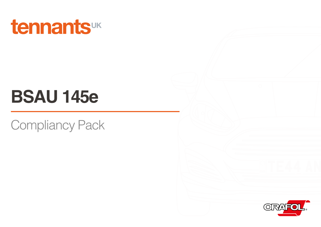

# **BSAU 145e**

**Compliancy Pack** 

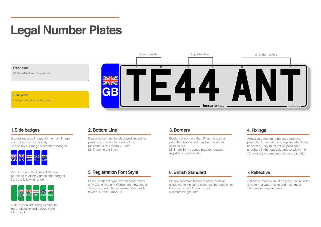### **Legal Number Plates**



#### **1. Side badges**

Badges must be integral to the main image and not applied separately. See below our range of standard badges.



Zero Emission Vehicles (ZEVs) are permitted to display green side badges from the following range:



Note: Green side badges must be retro-reflective and closely match PMS 7481.

#### **2. Bottom Line**

(except L and number 1)

Dealer name must be displayed, including postcode, in a single, solid colour. Maximum size 178mm x 10mm. Minimum height 3mm

Laser Charles Wright New standard black only. 3D, Hi-line and Carbon are now illegal. 79mm high with 14mm stroke. 50mm wide

#### **3. Borders**

Borders of no more than 5mm thick are a permitted option and may be of a single, solid colour. Minimum 10mm space required between registration and border.

#### **4. Fixings**

Adhesive pads are to be used wherever possible. If mechanical fixings are absolutely necessary, they must not be positioned anywhere in the readable area or within the 10mm isolation area around the registration

#### **5. Registration Font Style 6. British Standard 7. Reflective 6. British Standard**

BS No. and manufacturers name must be displayed in the same colour as the bottom line. Maximum size 57mm x 10mm. Minimum height 3mm

Reflective material must be plain, not include a pattern or watermarks and must meet photometric requirements.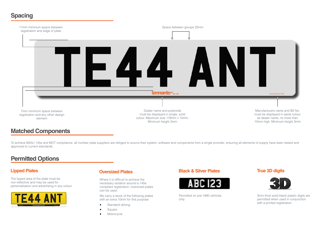### **Spacing**



#### **Matched Components**

To achieve BSAU 145e and MOT compliance, all number plate suppliers are obliged to source their system, software and components from a single provider, ensuring all elements of supply have been tested and approved to current standards.

#### **Permitted Options**

#### **Lipped Plates**

The lipped area of the plate must be non-reflective and may be used for personalisation and advertising in any colour.



#### **Oversized Plates**

Where it is difficult to achieve the necessary isolation around a 145e compliant registration, oversized plates can be used.

We carry a stock of the following plates with an extra 10mm for this purpose.

- Standard oblong
- Square
- **Motorcycle**

#### **Black & Silver Plates**



Permitted on pre-1980 vehicles only.

#### **True 3D digits**



3mm thick solid black plastic digits are permitted when used in conjunction with a printed registration.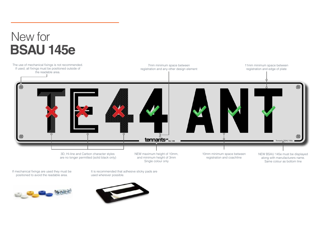



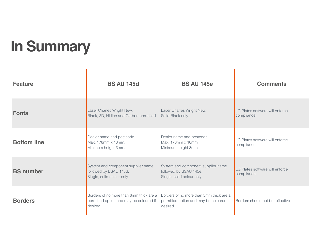# **In Summary**

| <b>Feature</b>     | <b>BS AU 145d</b>                                                                              | <b>BS AU 145e</b>                                                                              | <b>Comments</b>                                |
|--------------------|------------------------------------------------------------------------------------------------|------------------------------------------------------------------------------------------------|------------------------------------------------|
| <b>Fonts</b>       | Laser Charles Wright New.<br>Black, 3D, Hi-line and Carbon permitted.                          | Laser Charles Wright New.<br>Solid Black only.                                                 | LG Plates software will enforce<br>compliance. |
| <b>Bottom line</b> | Dealer name and postcode.<br>Max. 178mm x 13mm.<br>Minimum height 3mm.                         | Dealer name and postcode.<br>Max. 178mm x 10mm<br>Minimum height 3mm                           | LG Plates software will enforce<br>compliance. |
| <b>BS</b> number   | System and component supplier name<br>followed by BSAU 145d.<br>Single, solid colour only.     | System and component supplier name<br>followed by BSAU 145e.<br>Single, solid colour only      | LG Plates software will enforce<br>compliance. |
| <b>Borders</b>     | Borders of no more than 6mm thick are a<br>permitted option and may be coloured if<br>desired. | Borders of no more than 5mm thick are a<br>permitted option and may be coloured if<br>desired. | Borders should not be reflective               |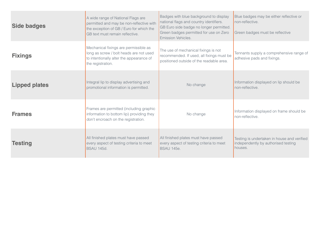| Side badges          | A wide range of National Flags are<br>permitted and may be non-reflective with<br>the exception of GB / Euro for which the<br>GB text must remain reflective. | Badges with blue background to display<br>national flags and country identifiers.<br>GB Euro side badge no longer permitted.<br>Green badges permitted for use on Zero<br>Emission Vehicles. | Blue badges may be either reflective or<br>non-reflective.<br>Green badges must be reflective |
|----------------------|---------------------------------------------------------------------------------------------------------------------------------------------------------------|----------------------------------------------------------------------------------------------------------------------------------------------------------------------------------------------|-----------------------------------------------------------------------------------------------|
| <b>Fixings</b>       | Mechanical fixings are permissible as<br>long as screw / bolt heads are not used<br>to intentionally alter the appearance of<br>the registration.             | The use of mechanical fixings is not<br>recommended. If used, all fixings must be<br>positioned outside of the readable area.                                                                | Tennants supply a comprehensive range of<br>adhesive pads and fixings.                        |
| <b>Lipped plates</b> | Integral lip to display advertising and<br>promotional information is permitted.                                                                              | No change                                                                                                                                                                                    | Information displayed on lip should be<br>non-reflective.                                     |
| <b>Frames</b>        | Frames are permitted (including graphic<br>information to bottom lip) providing they<br>don't encroach on the registration.                                   | No change                                                                                                                                                                                    | Information displayed on frame should be<br>non-reflective.                                   |
| <b>Testing</b>       | All finished plates must have passed<br>every aspect of testing criteria to meet<br><b>BSAU 145d.</b>                                                         | All finished plates must have passed<br>every aspect of testing criteria to meet<br><b>BSAU 145e.</b>                                                                                        | Testing is undertaken in house and verified<br>independently by authorised testing<br>houses. |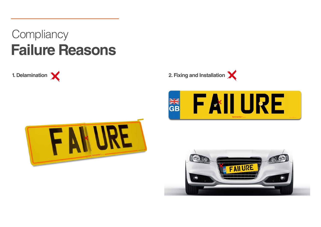## **Compliancy Failure Reasons**







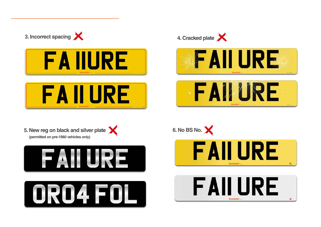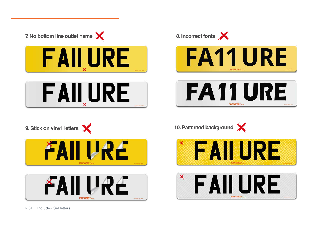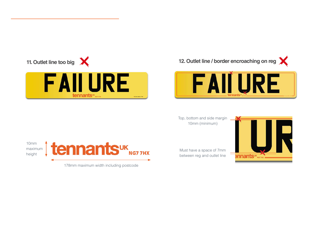





Top, bottom and side margin 10mm (minimum)

Must have a space of 7mm between reg and outlet line





178mm maximum width including postcode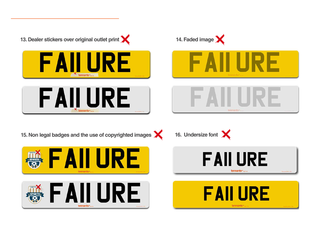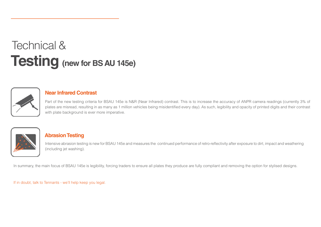## Technical & **Testing (new for BS AU 145e)**



#### **Near Infrared Contrast**

Part of the new testing criteria for BSAU 145e is N&R (Near Infrared) contrast. This is to increase the accuracy of ANPR camera readings (currently 3% of plates are misread, resulting in as many as 1 million vehicles being misidentified every day). As such, legibility and opacity of printed digits and their contrast with plate background is ever more imperative.



#### **Abrasion Testing**

Intensive abrasion testing is new for BSAU 145e and measures the continued performance of retro-reflectivity after exposure to dirt, impact and weathering (including jet washing).

In summary, the main focus of BSAU 145e is legibility, forcing traders to ensure all plates they produce are fully compliant and removing the option for stylised designs.

If in doubt, talk to Tennants - we'll help keep you legal.